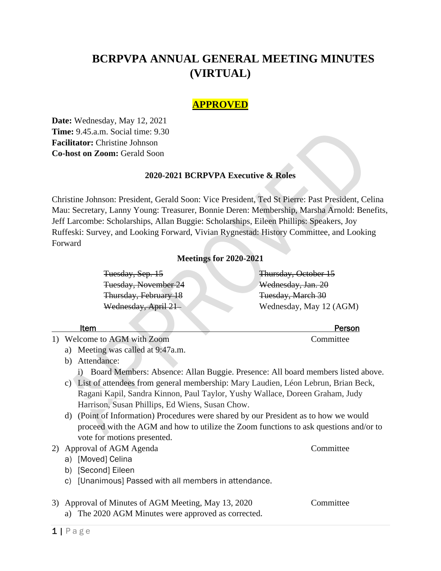# **BCRPVPA ANNUAL GENERAL MEETING MINUTES (VIRTUAL)**

# **APPROVED**

**Date:** Wednesday, May 12, 2021 **Time:** 9.45.a.m. Social time: 9.30 **Facilitator:** Christine Johnson **Co-host on Zoom:** Gerald Soon

## **2020-2021 BCRPVPA Executive & Roles**

Christine Johnson: President, Gerald Soon: Vice President, Ted St Pierre: Past President, Celina Mau: Secretary, Lanny Young: Treasurer, Bonnie Deren: Membership, Marsha Arnold: Benefits, Jeff Larcombe: Scholarships, Allan Buggie: Scholarships, Eileen Phillips: Speakers, Joy Ruffeski: Survey, and Looking Forward, Vivian Rygnestad: History Committee, and Looking Forward

# **Meetings for 2020-2021**

Tuesday, Sep. 15 Thursday, October 15 Tuesday, November 24 Wednesday, Jan. 20 Thursday, February 18 Tuesday, March 30

# Wednesday, April 21 Wednesday, May 12 (AGM)

- 1) Welcome to AGM with Zoom Committee
	- a) Meeting was called at 9:47a.m.
	- b) Attendance:

i) Board Members: Absence: Allan Buggie. Presence: All board members listed above.

- c) List of attendees from general membership: Mary Laudien, Léon Lebrun, Brian Beck, Ragani Kapil, Sandra Kinnon, Paul Taylor, Yushy Wallace, Doreen Graham, Judy Harrison, Susan Phillips, Ed Wiens, Susan Chow.
- d) (Point of Information) Procedures were shared by our President as to how we would proceed with the AGM and how to utilize the Zoom functions to ask questions and/or to vote for motions presented.
- 2) Approval of AGM Agenda Committee
	- a) [Moved] Celina
	- b) [Second] Eileen
	- c) [Unanimous] Passed with all members in attendance.
- 3) Approval of Minutes of AGM Meeting, May 13, 2020 Committee
	- a) The 2020 AGM Minutes were approved as corrected.

1 | Page

**Item Person**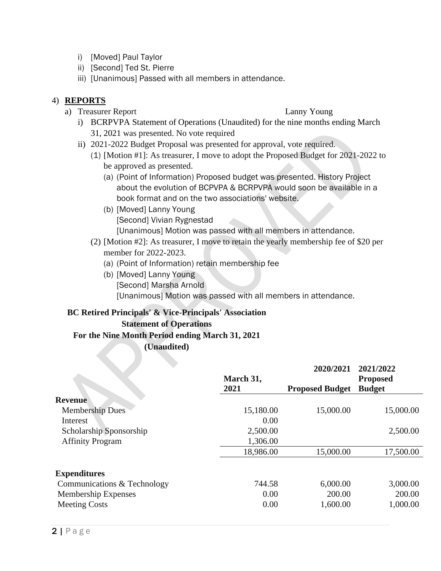- i) [Moved] Paul Taylor
- ii) [Second] Ted St. Pierre
- iii) [Unanimous] Passed with all members in attendance.

# 4) **REPORTS**

a) Treasurer Report Lanny Young

- i) BCRPVPA Statement of Operations (Unaudited) for the nine months ending March 31, 2021 was presented. No vote required
- ii) 2021-2022 Budget Proposal was presented for approval, vote required.
	- (1) [Motion #1]: As treasurer, I move to adopt the Proposed Budget for 2021-2022 to be approved as presented.
		- (a) (Point of Information) Proposed budget was presented. History Project about the evolution of BCPVPA & BCRPVPA would soon be available in a book format and on the two associations' website.
		- (b) [Moved] Lanny Young [Second] Vivian Rygnestad [Unanimous] Motion was passed with all members in attendance.
	- (2) [Motion #2]: As treasurer, I move to retain the yearly membership fee of \$20 per member for 2022-2023.
		- (a) (Point of Information) retain membership fee
		- (b) [Moved] Lanny Young [Second] Marsha Arnold [Unanimous] Motion was passed with all members in attendance.

# **BC Retired Principals' & Vice-Principals' Association Statement of Operations**

# **For the Nine Month Period ending March 31, 2021**

**(Unaudited)**

|                             | March 31, | 2020/2021              | 2021/2022<br><b>Proposed</b> |
|-----------------------------|-----------|------------------------|------------------------------|
|                             | 2021      | <b>Proposed Budget</b> | <b>Budget</b>                |
| <b>Revenue</b>              |           |                        |                              |
| <b>Membership Dues</b>      | 15,180.00 | 15,000.00              | 15,000.00                    |
| Interest                    | 0.00      |                        |                              |
| Scholarship Sponsorship     | 2,500.00  |                        | 2,500.00                     |
| <b>Affinity Program</b>     | 1,306.00  |                        |                              |
|                             | 18,986.00 | 15,000.00              | 17,500.00                    |
| <b>Expenditures</b>         |           |                        |                              |
| Communications & Technology | 744.58    | 6,000.00               | 3,000.00                     |
| Membership Expenses         | 0.00      | 200.00                 | 200.00                       |
| <b>Meeting Costs</b>        | 0.00      | 1,600.00               | 1,000.00                     |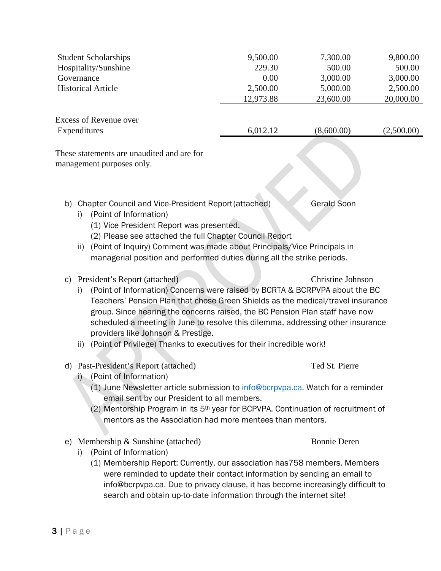|    | <b>Student Scholarships</b>                                                                                                                                                                                                                                                                                                                                                                                              | 9,500.00  | 7,300.00                 | 9,800.00   |
|----|--------------------------------------------------------------------------------------------------------------------------------------------------------------------------------------------------------------------------------------------------------------------------------------------------------------------------------------------------------------------------------------------------------------------------|-----------|--------------------------|------------|
|    | Hospitality/Sunshine                                                                                                                                                                                                                                                                                                                                                                                                     | 229.30    | 500.00                   | 500.00     |
|    | Governance                                                                                                                                                                                                                                                                                                                                                                                                               | 0.00      | 3,000.00                 | 3,000.00   |
|    | <b>Historical Article</b>                                                                                                                                                                                                                                                                                                                                                                                                | 2,500.00  | 5,000.00                 | 2,500.00   |
|    |                                                                                                                                                                                                                                                                                                                                                                                                                          | 12,973.88 | 23,600.00                | 20,000.00  |
|    | <b>Excess of Revenue over</b>                                                                                                                                                                                                                                                                                                                                                                                            |           |                          |            |
|    | Expenditures                                                                                                                                                                                                                                                                                                                                                                                                             | 6,012.12  | (8,600.00)               | (2,500.00) |
|    | These statements are unaudited and are for<br>management purposes only.                                                                                                                                                                                                                                                                                                                                                  |           |                          |            |
| b) | Chapter Council and Vice-President Report (attached)<br>(Point of Information)<br>i)<br>(1) Vice President Report was presented.<br>(2) Please see attached the full Chapter Council Report<br>(Point of Inquiry) Comment was made about Principals/Vice Principals in<br>ii)<br>managerial position and performed duties during all the strike periods.                                                                 |           | <b>Gerald Soon</b>       |            |
| C) | President's Report (attached)<br>(Point of Information) Concerns were raised by BCRTA & BCRPVPA about the BC<br>$\mathbf{I}$<br>Teachers' Pension Plan that chose Green Shields as the medical/travel insurance<br>group. Since hearing the concerns raised, the BC Pension Plan staff have now<br>scheduled a meeting in June to resolve this dilemma, addressing other insurance<br>providers like Johnson & Prestige. |           | <b>Christine Johnson</b> |            |
|    | (Point of Privilege) Thanks to executives for their incredible work!<br>ii)                                                                                                                                                                                                                                                                                                                                              |           |                          |            |
|    | d) Past-President's Report (attached)<br>i) (Point of Information)<br>(1) June Newsletter article submission to info@bcrpvpa.ca. Watch for a reminder                                                                                                                                                                                                                                                                    |           | Ted St. Pierre           |            |
|    | email sent by our President to all members.<br>(2) Mentorship Program in its 5 <sup>th</sup> year for BCPVPA. Continuation of recruitment of<br>mentors as the Association had more mentees than mentors.                                                                                                                                                                                                                |           |                          |            |

- e) Membership & Sunshine (attached) Bonnie Deren
	-

- i) (Point of Information)
	- (1) Membership Report: Currently, our association has758 members. Members were reminded to update their contact information by sending an email to info@bcrpvpa.ca. Due to privacy clause, it has become increasingly difficult to search and obtain up-to-date information through the internet site!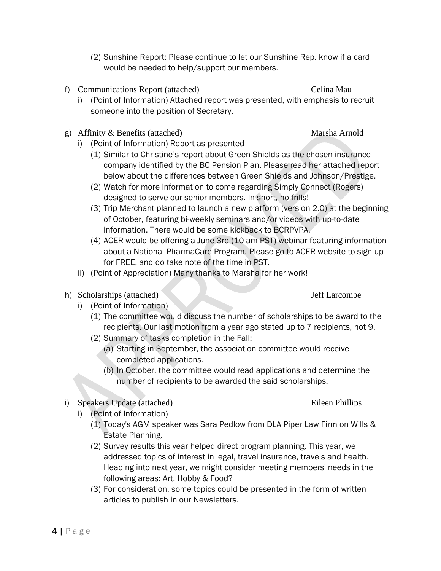- i) (Point of Information) Report as presented (1) Similar to Christine's report about Green Shields as the chosen insurance
	- company identified by the BC Pension Plan. Please read her attached report below about the differences between Green Shields and Johnson/Prestige. (2) Watch for more information to come regarding Simply Connect (Rogers)
	- designed to serve our senior members. In short, no frills!
	- (3) Trip Merchant planned to launch a new platform (version 2.0) at the beginning of October, featuring bi-weekly seminars and/or videos with up-to-date information. There would be some kickback to BCRPVPA.
	- (4) ACER would be offering a June 3rd (10 am PST) webinar featuring information about a National PharmaCare Program. Please go to ACER website to sign up for FREE, and do take note of the time in PST.
	- ii) (Point of Appreciation) Many thanks to Marsha for her work!
- h) Scholarships (attached) Jeff Larcombe
	- i) (Point of Information)
		- (1) The committee would discuss the number of scholarships to be award to the recipients. Our last motion from a year ago stated up to 7 recipients, not 9.
		- (2) Summary of tasks completion in the Fall:
			- (a) Starting in September, the association committee would receive completed applications.
			- (b) In October, the committee would read applications and determine the number of recipients to be awarded the said scholarships.
- i) Speakers Update (attached) Eileen Phillips
	- i) (Point of Information)
		- (1) Today's AGM speaker was Sara Pedlow from DLA Piper Law Firm on Wills & Estate Planning.
		- (2) Survey results this year helped direct program planning. This year, we addressed topics of interest in legal, travel insurance, travels and health. Heading into next year, we might consider meeting members' needs in the following areas: Art, Hobby & Food?
		- (3) For consideration, some topics could be presented in the form of written articles to publish in our Newsletters.
- (2) Sunshine Report: Please continue to let our Sunshine Rep. know if a card would be needed to help/support our members.
- f) Communications Report (attached) Celina Mau
	- i) (Point of Information) Attached report was presented, with emphasis to recruit someone into the position of Secretary.
- g) Affinity & Benefits (attached) Marsha Arnold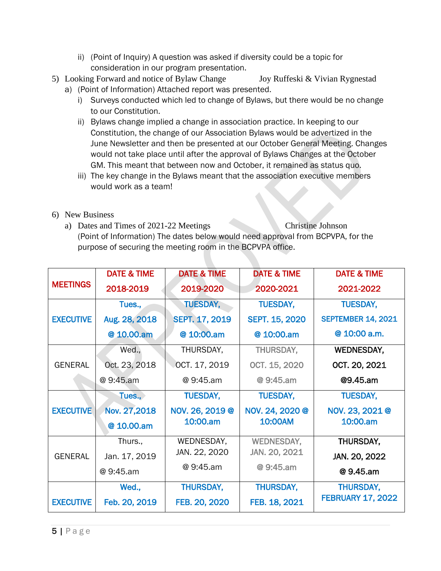- ii) (Point of Inquiry) A question was asked if diversity could be a topic for consideration in our program presentation.
- 5) Looking Forward and notice of Bylaw Change Joy Ruffeski & Vivian Rygnestad
	- a) (Point of Information) Attached report was presented.
		- i) Surveys conducted which led to change of Bylaws, but there would be no change to our Constitution.
		- ii) Bylaws change implied a change in association practice. In keeping to our Constitution, the change of our Association Bylaws would be advertized in the June Newsletter and then be presented at our October General Meeting. Changes would not take place until after the approval of Bylaws Changes at the October GM. This meant that between now and October, it remained as status quo.
		- iii) The key change in the Bylaws meant that the association executive members would work as a team!
- 6) New Business
	- a) Dates and Times of 2021-22 Meetings Christine Johnson (Point of Information) The dates below would need approval from BCPVPA, for the purpose of securing the meeting room in the BCPVPA office.

|                  | <b>DATE &amp; TIME</b> | <b>DATE &amp; TIME</b> | <b>DATE &amp; TIME</b> | <b>DATE &amp; TIME</b>    |
|------------------|------------------------|------------------------|------------------------|---------------------------|
| <b>MEETINGS</b>  | 2018-2019              | 2019-2020              | 2020-2021              | 2021-2022                 |
|                  | Tues.,                 | <b>TUESDAY,</b>        | <b>TUESDAY,</b>        | <b>TUESDAY,</b>           |
| <b>EXECUTIVE</b> | Aug. 28, 2018          | <b>SEPT. 17, 2019</b>  | <b>SEPT. 15, 2020</b>  | <b>SEPTEMBER 14, 2021</b> |
|                  | @ 10.00.am             | @ 10:00.am             | @ 10:00.am             | @ 10:00 a.m.              |
|                  | Wed.,                  | THURSDAY,              | THURSDAY,              | <b>WEDNESDAY,</b>         |
| <b>GENERAL</b>   | Oct. 23, 2018          | OCT. 17, 2019          | OCT. 15, 2020          | OCT. 20, 2021             |
|                  | @ 9:45.am              | @ 9:45.am              | @ 9:45.am              | @9.45.am                  |
|                  | Tues.,                 | <b>TUESDAY,</b>        | <b>TUESDAY,</b>        | <b>TUESDAY,</b>           |
| <b>EXECUTIVE</b> | Nov. 27,2018           | NOV. 26, 2019 @        | NOV. 24, 2020 @        | NOV. 23, 2021 @           |
|                  | @ 10.00.am             | 10:00.am               | 10:00AM                | 10:00.am                  |
|                  | Thurs.,                | WEDNESDAY,             | <b>WEDNESDAY,</b>      | THURSDAY,                 |
| <b>GENERAL</b>   | Jan. 17, 2019          | JAN. 22, 2020          | JAN. 20, 2021          | JAN. 20, 2022             |
|                  | @ 9:45.am              | @ 9:45.am              | @ 9:45.am              | @9.45.am                  |
|                  | Wed.,                  | <b>THURSDAY,</b>       | <b>THURSDAY,</b>       | <b>THURSDAY,</b>          |
| <b>EXECUTIVE</b> | Feb. 20, 2019          | FEB. 20, 2020          | FEB. 18, 2021          | <b>FEBRUARY 17, 2022</b>  |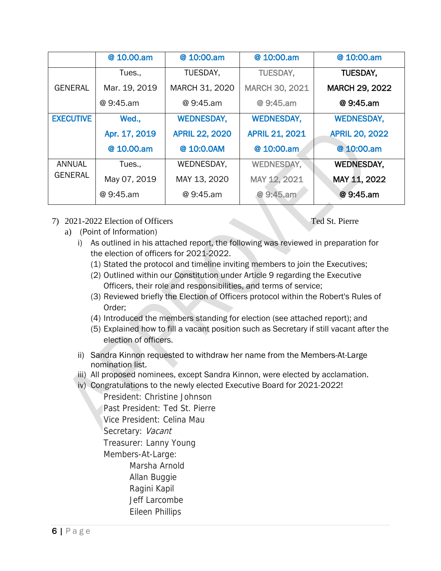|                  | @ 10.00.am    | @ 10:00.am            | @ 10:00.am            | @ 10:00.am            |
|------------------|---------------|-----------------------|-----------------------|-----------------------|
|                  | Tues.,        | TUESDAY.              | <b>TUESDAY.</b>       | <b>TUESDAY.</b>       |
| <b>GENERAL</b>   | Mar. 19, 2019 | MARCH 31, 2020        | <b>MARCH 30, 2021</b> | <b>MARCH 29, 2022</b> |
|                  | @ 9:45.am     | @ 9:45.am             | @ 9:45.am             | @ 9:45.am             |
| <b>EXECUTIVE</b> | Wed.,         | <b>WEDNESDAY,</b>     | <b>WEDNESDAY,</b>     | <b>WEDNESDAY,</b>     |
|                  | Apr. 17, 2019 | <b>APRIL 22, 2020</b> | <b>APRIL 21, 2021</b> | <b>APRIL 20, 2022</b> |
|                  | @ 10.00.am    | @ 10:0.0AM            | @ 10:00.am            | @ 10:00.am            |
| <b>ANNUAL</b>    | Tues.,        | WEDNESDAY.            | <b>WEDNESDAY,</b>     | <b>WEDNESDAY,</b>     |
| <b>GENERAL</b>   | May 07, 2019  | MAY 13, 2020          | MAY 12, 2021          | MAY 11, 2022          |
|                  | @ 9:45.am     | @ 9:45.am             | @ 9:45.am             | @ 9:45.am             |
|                  |               |                       |                       |                       |

7) 2021-2022 Election of Officers Ted St. Pierre

- a) (Point of Information)
	- i) As outlined in his attached report, the following was reviewed in preparation for the election of officers for 2021-2022.
		- (1) Stated the protocol and timeline inviting members to join the Executives;
		- (2) Outlined within our Constitution under Article 9 regarding the Executive Officers, their role and responsibilities, and terms of service;
		- (3) Reviewed briefly the Election of Officers protocol within the Robert's Rules of Order;
		- (4) Introduced the members standing for election (see attached report); and
		- (5) Explained how to fill a vacant position such as Secretary if still vacant after the election of officers.
	- ii) Sandra Kinnon requested to withdraw her name from the Members-At-Large nomination list.
	- iii) All proposed nominees, except Sandra Kinnon, were elected by acclamation.
	- iv) Congratulations to the newly elected Executive Board for 2021-2022!

President: Christine Johnson Past President: Ted St. Pierre Vice President: Celina Mau Secretary: Vacant Treasurer: Lanny Young Members-At-Large: Marsha Arnold

- Allan Buggie Ragini Kapil
- Jeff Larcombe Eileen Phillips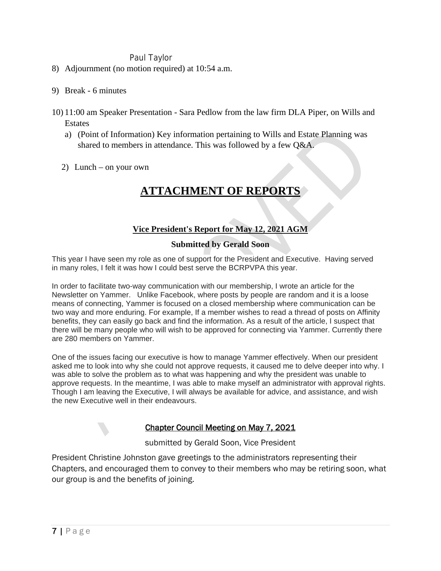# Paul Taylor

- 8) Adjournment (no motion required) at 10:54 a.m.
- 9) Break 6 minutes
- 10) 11:00 am Speaker Presentation Sara Pedlow from the law firm DLA Piper, on Wills and Estates
	- a) (Point of Information) Key information pertaining to Wills and Estate Planning was shared to members in attendance. This was followed by a few Q&A.
	- 2) Lunch on your own

# **ATTACHMENT OF REPORTS**

# **Vice President's Report for May 12, 2021 AGM**

# **Submitted by Gerald Soon**

This year I have seen my role as one of support for the President and Executive. Having served in many roles, I felt it was how I could best serve the BCRPVPA this year.

In order to facilitate two-way communication with our membership, I wrote an article for the Newsletter on Yammer. Unlike Facebook, where posts by people are random and it is a loose means of connecting, Yammer is focused on a closed membership where communication can be two way and more enduring. For example, If a member wishes to read a thread of posts on Affinity benefits, they can easily go back and find the information. As a result of the article, I suspect that there will be many people who will wish to be approved for connecting via Yammer. Currently there are 280 members on Yammer.

One of the issues facing our executive is how to manage Yammer effectively. When our president asked me to look into why she could not approve requests, it caused me to delve deeper into why. I was able to solve the problem as to what was happening and why the president was unable to approve requests. In the meantime, I was able to make myself an administrator with approval rights. Though I am leaving the Executive, I will always be available for advice, and assistance, and wish the new Executive well in their endeavours.

# Chapter Council Meeting on May 7, 2021

submitted by Gerald Soon, Vice President

President Christine Johnston gave greetings to the administrators representing their Chapters, and encouraged them to convey to their members who may be retiring soon, what our group is and the benefits of joining.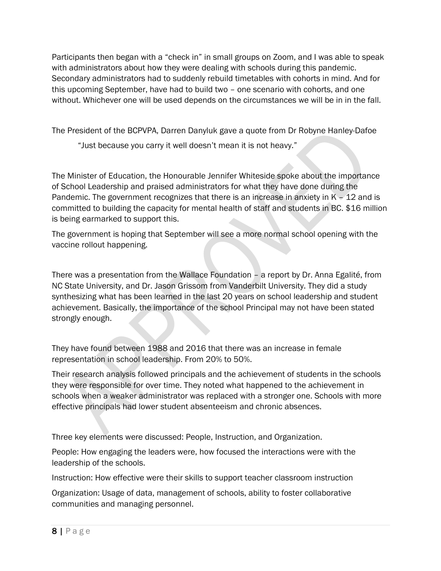Participants then began with a "check in" in small groups on Zoom, and I was able to speak with administrators about how they were dealing with schools during this pandemic. Secondary administrators had to suddenly rebuild timetables with cohorts in mind. And for this upcoming September, have had to build two – one scenario with cohorts, and one without. Whichever one will be used depends on the circumstances we will be in in the fall.

The President of the BCPVPA, Darren Danyluk gave a quote from Dr Robyne Hanley-Dafoe

"Just because you carry it well doesn't mean it is not heavy."

The Minister of Education, the Honourable Jennifer Whiteside spoke about the importance of School Leadership and praised administrators for what they have done during the Pandemic. The government recognizes that there is an increase in anxiety in  $K - 12$  and is committed to building the capacity for mental health of staff and students in BC. \$16 million is being earmarked to support this.

The government is hoping that September will see a more normal school opening with the vaccine rollout happening.

There was a presentation from the Wallace Foundation – a report by Dr. Anna Egalité, from NC State University, and Dr. Jason Grissom from Vanderbilt University. They did a study synthesizing what has been learned in the last 20 years on school leadership and student achievement. Basically, the importance of the school Principal may not have been stated strongly enough.

They have found between 1988 and 2016 that there was an increase in female representation in school leadership. From 20% to 50%.

Their research analysis followed principals and the achievement of students in the schools they were responsible for over time. They noted what happened to the achievement in schools when a weaker administrator was replaced with a stronger one. Schools with more effective principals had lower student absenteeism and chronic absences.

Three key elements were discussed: People, Instruction, and Organization.

People: How engaging the leaders were, how focused the interactions were with the leadership of the schools.

Instruction: How effective were their skills to support teacher classroom instruction

Organization: Usage of data, management of schools, ability to foster collaborative communities and managing personnel.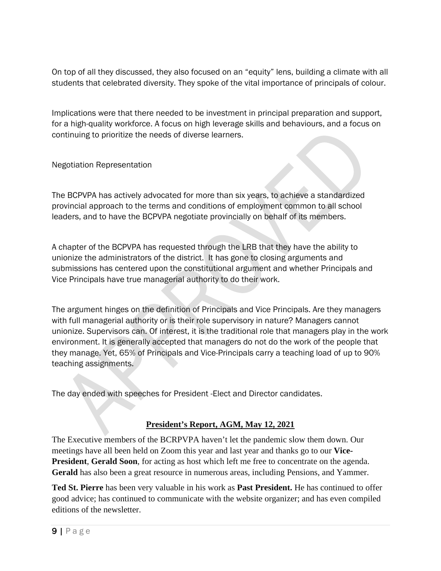On top of all they discussed, they also focused on an "equity" lens, building a climate with all students that celebrated diversity. They spoke of the vital importance of principals of colour.

Implications were that there needed to be investment in principal preparation and support, for a high-quality workforce. A focus on high leverage skills and behaviours, and a focus on continuing to prioritize the needs of diverse learners.

Negotiation Representation

The BCPVPA has actively advocated for more than six years, to achieve a standardized provincial approach to the terms and conditions of employment common to all school leaders, and to have the BCPVPA negotiate provincially on behalf of its members.

A chapter of the BCPVPA has requested through the LRB that they have the ability to unionize the administrators of the district. It has gone to closing arguments and submissions has centered upon the constitutional argument and whether Principals and Vice Principals have true managerial authority to do their work.

The argument hinges on the definition of Principals and Vice Principals. Are they managers with full managerial authority or is their role supervisory in nature? Managers cannot unionize. Supervisors can. Of interest, it is the traditional role that managers play in the work environment. It is generally accepted that managers do not do the work of the people that they manage. Yet, 65% of Principals and Vice-Principals carry a teaching load of up to 90% teaching assignments.

The day ended with speeches for President -Elect and Director candidates.

# **President's Report, AGM, May 12, 2021**

The Executive members of the BCRPVPA haven't let the pandemic slow them down. Our meetings have all been held on Zoom this year and last year and thanks go to our **Vice-President**, **Gerald Soon**, for acting as host which left me free to concentrate on the agenda. **Gerald** has also been a great resource in numerous areas, including Pensions, and Yammer.

**Ted St. Pierre** has been very valuable in his work as **Past President.** He has continued to offer good advice; has continued to communicate with the website organizer; and has even compiled editions of the newsletter.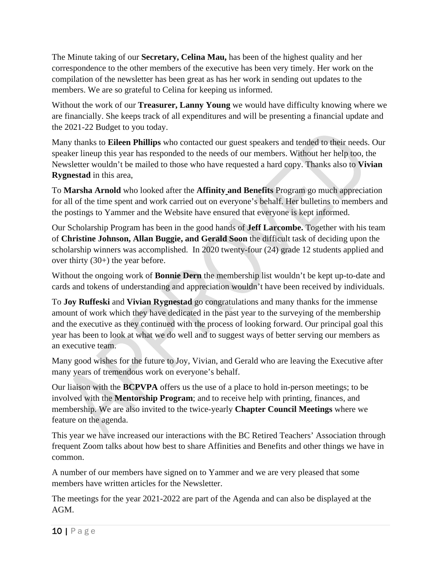The Minute taking of our **Secretary, Celina Mau,** has been of the highest quality and her correspondence to the other members of the executive has been very timely. Her work on the compilation of the newsletter has been great as has her work in sending out updates to the members. We are so grateful to Celina for keeping us informed.

Without the work of our **Treasurer, Lanny Young** we would have difficulty knowing where we are financially. She keeps track of all expenditures and will be presenting a financial update and the 2021-22 Budget to you today.

Many thanks to **Eileen Phillips** who contacted our guest speakers and tended to their needs. Our speaker lineup this year has responded to the needs of our members. Without her help too, the Newsletter wouldn't be mailed to those who have requested a hard copy. Thanks also to **Vivian Rygnestad** in this area,

To **Marsha Arnold** who looked after the **Affinity and Benefits** Program go much appreciation for all of the time spent and work carried out on everyone's behalf. Her bulletins to members and the postings to Yammer and the Website have ensured that everyone is kept informed.

Our Scholarship Program has been in the good hands of **Jeff Larcombe.** Together with his team of **Christine Johnson, Allan Buggie, and Gerald Soon** the difficult task of deciding upon the scholarship winners was accomplished. In 2020 twenty-four (24) grade 12 students applied and over thirty (30+) the year before.

Without the ongoing work of **Bonnie Dern** the membership list wouldn't be kept up-to-date and cards and tokens of understanding and appreciation wouldn't have been received by individuals.

To **Joy Ruffeski** and **Vivian Rygnestad** go congratulations and many thanks for the immense amount of work which they have dedicated in the past year to the surveying of the membership and the executive as they continued with the process of looking forward. Our principal goal this year has been to look at what we do well and to suggest ways of better serving our members as an executive team.

Many good wishes for the future to Joy, Vivian, and Gerald who are leaving the Executive after many years of tremendous work on everyone's behalf.

Our liaison with the **BCPVPA** offers us the use of a place to hold in-person meetings; to be involved with the **Mentorship Program**; and to receive help with printing, finances, and membership. We are also invited to the twice-yearly **Chapter Council Meetings** where we feature on the agenda.

This year we have increased our interactions with the BC Retired Teachers' Association through frequent Zoom talks about how best to share Affinities and Benefits and other things we have in common.

A number of our members have signed on to Yammer and we are very pleased that some members have written articles for the Newsletter.

The meetings for the year 2021-2022 are part of the Agenda and can also be displayed at the AGM.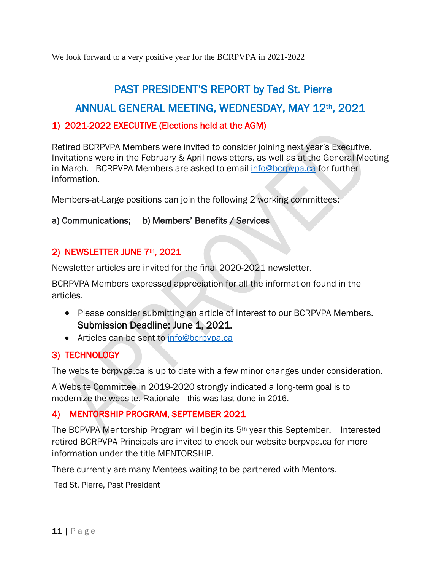We look forward to a very positive year for the BCRPVPA in 2021-2022

# PAST PRESIDENT'S REPORT by Ted St. Pierre ANNUAL GENERAL MEETING, WEDNESDAY, MAY 12th, 2021

# 1) 2021-2022 EXECUTIVE (Elections held at the AGM)

Retired BCRPVPA Members were invited to consider joining next year's Executive. Invitations were in the February & April newsletters, as well as at the General Meeting in March. BCRPVPA Members are asked to email [info@bcrpvpa.ca](mailto:info@bcrpvpa.ca) for further information.

Members-at-Large positions can join the following 2 working committees:

# a) Communications; b) Members' Benefits / Services

# 2) NEWSLETTER JUNE 7th, 2021

Newsletter articles are invited for the final 2020-2021 newsletter.

BCRPVPA Members expressed appreciation for all the information found in the articles.

- Please consider submitting an article of interest to our BCRPVPA Members. Submission Deadline: June 1, 2021.
- Articles can be sent to [info@bcrpvpa.ca](mailto:info@bcrpvpa.ca)

# 3) TECHNOLOGY

The website bcrpvpa.ca is up to date with a few minor changes under consideration.

A Website Committee in 2019-2020 strongly indicated a long-term goal is to modernize the website. Rationale - this was last done in 2016.

# 4) MENTORSHIP PROGRAM, SEPTEMBER 2021

The BCPVPA Mentorship Program will begin its  $5<sup>th</sup>$  year this September. Interested retired BCRPVPA Principals are invited to check our website bcrpvpa.ca for more information under the title MENTORSHIP.

There currently are many Mentees waiting to be partnered with Mentors.

Ted St. Pierre, Past President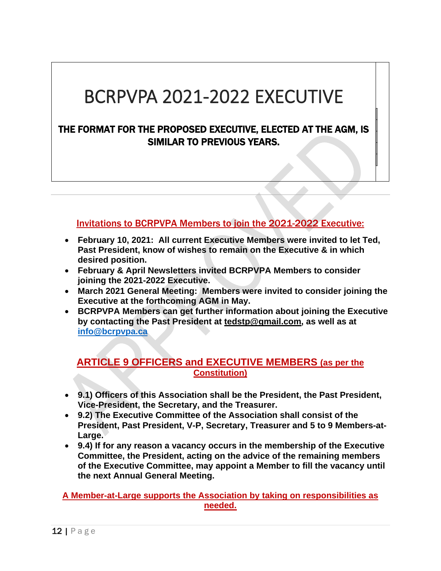# BCRPVPA 2021-2022 EXECUTIVE

# THE FORMAT FOR THE PROPOSED EXECUTIVE, ELECTED AT THE AGM, IS SIMILAR TO PREVIOUS YEARS.

# Invitations to BCRPVPA Members to join the 2021-2022 Executive:

- **February 10, 2021: All current Executive Members were invited to let Ted, Past President, know of wishes to remain on the Executive & in which desired position.**
- **February & April Newsletters invited BCRPVPA Members to consider joining the 2021-2022 Executive.**
- **March 2021 General Meeting: Members were invited to consider joining the Executive at the forthcoming AGM in May.**
- **BCRPVPA Members can get further information about joining the Executive by contacting the Past President at [tedstp@gmail.com,](mailto:tedstp@gmail.com) as well as at [info@bcrpvpa.ca](mailto:info@bcrpvpa.ca)**

# **ARTICLE 9 OFFICERS and EXECUTIVE MEMBERS (as per the Constitution)**

- **9.1) Officers of this Association shall be the President, the Past President, Vice-President, the Secretary, and the Treasurer.**
- **9.2) The Executive Committee of the Association shall consist of the President, Past President, V-P, Secretary, Treasurer and 5 to 9 Members-at-Large.**
- **9.4) If for any reason a vacancy occurs in the membership of the Executive Committee, the President, acting on the advice of the remaining members of the Executive Committee, may appoint a Member to fill the vacancy until the next Annual General Meeting.**

**A Member-at-Large supports the Association by taking on responsibilities as needed.**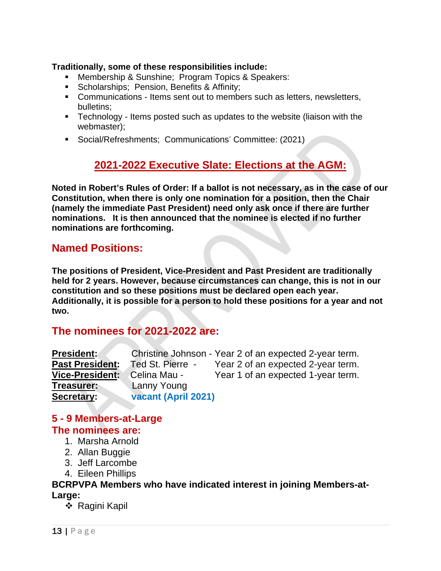# **Traditionally, some of these responsibilities include:**

- **Membership & Sunshine; Program Topics & Speakers:**
- **Scholarships; Pension, Benefits & Affinity;**
- Communications Items sent out to members such as letters, newsletters, bulletins;
- Technology Items posted such as updates to the website (liaison with the webmaster);
- Social/Refreshments; Communications' Committee: (2021)

# **2021-2022 Executive Slate: Elections at the AGM:**

**Noted in Robert's Rules of Order: If a ballot is not necessary, as in the case of our Constitution, when there is only one nomination for a position, then the Chair (namely the immediate Past President) need only ask once if there are further nominations. It is then announced that the nominee is elected if no further nominations are forthcoming.** 

# **Named Positions:**

**The positions of President, Vice-President and Past President are traditionally held for 2 years. However, because circumstances can change, this is not in our constitution and so these positions must be declared open each year. Additionally, it is possible for a person to hold these positions for a year and not two.**

# **The nominees for 2021-2022 are:**

| <b>President:</b>      |                     | Christine Johnson - Year 2 of an expected 2-year term. |
|------------------------|---------------------|--------------------------------------------------------|
| <b>Past President:</b> | Ted St. Pierre -    | Year 2 of an expected 2-year term.                     |
| <b>Vice-President:</b> | Celina Mau -        | Year 1 of an expected 1-year term.                     |
| <b>Treasurer:</b>      | Lanny Young         |                                                        |
| Secretary:             | vacant (April 2021) |                                                        |

# **5 - 9 Members-at-Large The nominees are:**

- 1. Marsha Arnold
- 2. Allan Buggie
- 3. Jeff Larcombe
- 4. Eileen Phillips

# **BCRPVPA Members who have indicated interest in joining Members-at-Large:**

❖ Ragini Kapil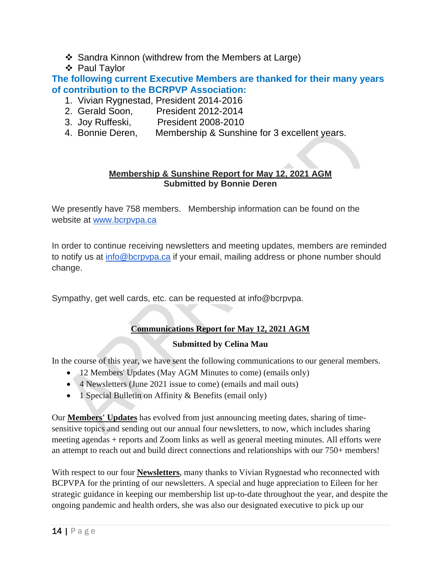- ❖ Sandra Kinnon (withdrew from the Members at Large)
- ❖ Paul Taylor

**The following current Executive Members are thanked for their many years of contribution to the BCRPVP Association:** 

- 1. Vivian Rygnestad, President 2014-2016
- 2. Gerald Soon, President 2012-2014
- 3. Joy Ruffeski, President 2008-2010
- 4. Bonnie Deren, Membership & Sunshine for 3 excellent years.

# **Membership & Sunshine Report for May 12, 2021 AGM Submitted by Bonnie Deren**

We presently have 758 members. Membership information can be found on the website at [www.bcrpvpa.ca](http://www.bcrpvpa.ca/)

In order to continue receiving newsletters and meeting updates, members are reminded to notify us at [info@bcrpvpa.ca](mailto:info@bcrpvpa.ca) if your email, mailing address or phone number should change.

Sympathy, get well cards, etc. can be requested at info@bcrpvpa.

# **Communications Report for May 12, 2021 AGM**

# **Submitted by Celina Mau**

In the course of this year, we have sent the following communications to our general members.

- 12 Members' Updates (May AGM Minutes to come) (emails only)
- 4 Newsletters (June 2021 issue to come) (emails and mail outs)
- 1 Special Bulletin on Affinity & Benefits (email only)

Our **Members' Updates** has evolved from just announcing meeting dates, sharing of timesensitive topics and sending out our annual four newsletters, to now, which includes sharing meeting agendas + reports and Zoom links as well as general meeting minutes. All efforts were an attempt to reach out and build direct connections and relationships with our 750+ members!

With respect to our four **Newsletters**, many thanks to Vivian Rygnestad who reconnected with BCPVPA for the printing of our newsletters. A special and huge appreciation to Eileen for her strategic guidance in keeping our membership list up-to-date throughout the year, and despite the ongoing pandemic and health orders, she was also our designated executive to pick up our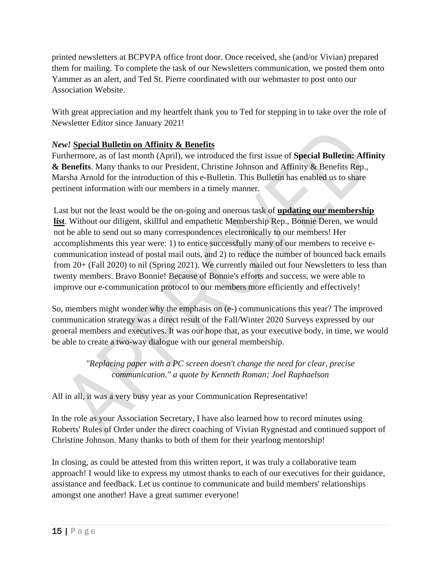printed newsletters at BCPVPA office front door. Once received, she (and/or Vivian) prepared them for mailing. To complete the task of our Newsletters communication, we posted them onto Yammer as an alert, and Ted St. Pierre coordinated with our webmaster to post onto our Association Website.

With great appreciation and my heartfelt thank you to Ted for stepping in to take over the role of Newsletter Editor since January 2021!

# *New!* **Special Bulletin on Affinity & Benefits**

Furthermore, as of last month (April), we introduced the first issue of **Special Bulletin: Affinity & Benefits**. Many thanks to our President, Christine Johnson and Affinity & Benefits Rep., Marsha Arnold for the introduction of this e-Bulletin. This Bulletin has enabled us to share pertinent information with our members in a timely manner.

Last but not the least would be the on-going and onerous task of **updating our membership list**. Without our diligent, skillful and empathetic Membership Rep., Bonnie Deren, we would not be able to send out so many correspondences electronically to our members! Her accomplishments this year were: 1) to entice successfully many of our members to receive ecommunication instead of postal mail outs, and 2) to reduce the number of bounced back emails from 20+ (Fall 2020) to nil (Spring 2021). We currently mailed out four Newsletters to less than twenty members. Bravo Bonnie! Because of Bonnie's efforts and success, we were able to improve our e-communication protocol to our members more efficiently and effectively!

So, members might wonder why the emphasis on (e-) communications this year? The improved communication strategy was a direct result of the Fall/Winter 2020 Surveys expressed by our general members and executives. It was our hope that, as your executive body, in time, we would be able to create a two-way dialogue with our general membership.

> *"Replacing paper with a PC screen doesn't change the need for clear, precise communication." a quote by Kenneth Roman; Joel Raphaelson*

All in all, it was a very busy year as your Communication Representative!

In the role as your Association Secretary, I have also learned how to record minutes using Roberts' Rules of Order under the direct coaching of Vivian Rygnestad and continued support of Christine Johnson. Many thanks to both of them for their yearlong mentorship!

In closing, as could be attested from this written report, it was truly a collaborative team approach! I would like to express my utmost thanks to each of our executives for their guidance, assistance and feedback. Let us continue to communicate and build members' relationships amongst one another! Have a great summer everyone!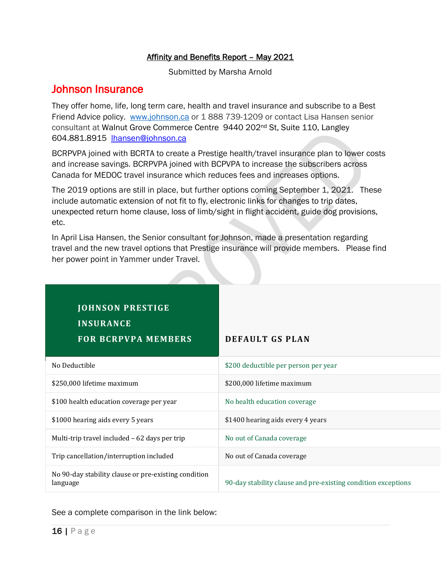# Affinity and Benefits Report - May 2021

Submitted by Marsha Arnold

# Johnson Insurance

They offer home, life, long term care, health and travel insurance and subscribe to a Best Friend Advice policy. [www.johnson.ca](http://www.johnson.ca/) or 1 888 739-1209 or contact Lisa Hansen senior consultant at Walnut Grove Commerce Centre 9440 202nd St, Suite 110, Langley 604.881.8915 [lhansen@johnson.ca](mailto:lhansen@johnson.ca)

BCRPVPA joined with BCRTA to create a Prestige health/travel insurance plan to lower costs and increase savings. BCRPVPA joined with BCPVPA to increase the subscribers across Canada for MEDOC travel insurance which reduces fees and increases options.

The 2019 options are still in place, but further options coming September 1, 2021. These include automatic extension of not fit to fly, electronic links for changes to trip dates, unexpected return home clause, loss of limb/sight in flight accident, guide dog provisions, etc.

In April Lisa Hansen, the Senior consultant for Johnson, made a presentation regarding travel and the new travel options that Prestige insurance will provide members. Please find her power point in Yammer under Travel.

| <b>JOHNSON PRESTIGE</b><br><b>INSURANCE</b><br><b>FOR BCRPVPA MEMBERS</b> | <b>DEFAULT GS PLAN</b>                                        |
|---------------------------------------------------------------------------|---------------------------------------------------------------|
| No Deductible                                                             | \$200 deductible per person per year                          |
| \$250,000 lifetime maximum                                                | \$200,000 lifetime maximum                                    |
| \$100 health education coverage per year                                  | No health education coverage                                  |
| \$1000 hearing aids every 5 years                                         | \$1400 hearing aids every 4 years                             |
| Multi-trip travel included - 62 days per trip                             | No out of Canada coverage                                     |
| Trip cancellation/interruption included                                   | No out of Canada coverage                                     |
| No 90-day stability clause or pre-existing condition<br>language          | 90-day stability clause and pre-existing condition exceptions |

See a complete comparison in the link below: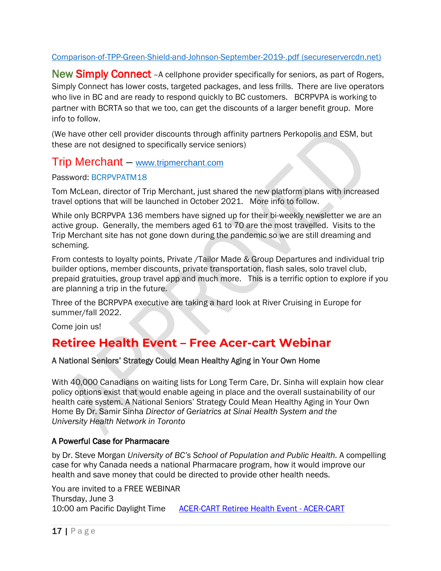# [Comparison-of-TPP-Green-Shield-and-Johnson-September-2019-.pdf \(secureservercdn.net\)](https://secureservercdn.net/166.62.110.232/ag4.cb6.myftpupload.com/wp-content/uploads/2020/06/Comparison-of-TPP-Green-Shield-and-Johnson-September-2019-.pdf)

New Simply Connect - A cellphone provider specifically for seniors, as part of Rogers, Simply Connect has lower costs, targeted packages, and less frills. There are live operators who live in BC and are ready to respond quickly to BC customers. BCRPVPA is working to partner with BCRTA so that we too, can get the discounts of a larger benefit group. More info to follow.

(We have other cell provider discounts through affinity partners Perkopolis and ESM, but these are not designed to specifically service seniors)

# Trip Merchant – [www.tripmerchant.com](http://www.tripmerchant.com/)

# Password: BCRPVPATM18

Tom McLean, director of Trip Merchant, just shared the new platform plans with increased travel options that will be launched in October 2021. More info to follow.

While only BCRPVPA 136 members have signed up for their bi-weekly newsletter we are an active group. Generally, the members aged 61 to 70 are the most travelled. Visits to the Trip Merchant site has not gone down during the pandemic so we are still dreaming and scheming.

From contests to loyalty points, Private /Tailor Made & Group Departures and individual trip builder options, member discounts, private transportation, flash sales, solo travel club, prepaid gratuities, group travel app and much more. This is a terrific option to explore if you are planning a trip in the future.

Three of the BCRPVPA executive are taking a hard look at River Cruising in Europe for summer/fall 2022.

Come join us!

# **Retiree Health Event – Free Acer-cart Webinar**

# A National Seniors' Strategy Could Mean Healthy Aging in Your Own Home

With 40,000 Canadians on waiting lists for Long Term Care, Dr. Sinha will explain how clear policy options exist that would enable ageing in place and the overall sustainability of our health care system. A National Seniors' Strategy Could Mean Healthy Aging in Your Own Home By Dr. Samir Sinha *Director of Geriatrics at Sinai Health System and the University Health Network in Toronto*

# A Powerful Case for Pharmacare

by Dr. Steve Morgan *University of BC's School of Population and Public Health.* A compelling case for why Canada needs a national Pharmacare program, how it would improve our health and save money that could be directed to provide other health needs.

You are invited to a FREE WEBINAR Thursday, June 3 10:00 am Pacific Daylight Time [ACER-CART Retiree Health Event - ACER-CART](https://acer-cart.org/june3event/)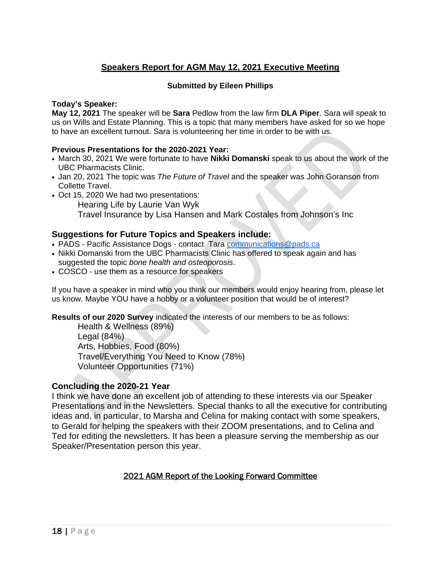# **Speakers Report for AGM May 12, 2021 Executive Meeting**

# **Submitted by Eileen Phillips**

# **Today's Speaker:**

**May 12, 2021** The speaker will be **Sara** Pedlow from the law firm **DLA Piper**. Sara will speak to us on Wills and Estate Planning. This is a topic that many members have asked for so we hope to have an excellent turnout. Sara is volunteering her time in order to be with us.

## **Previous Presentations for the 2020-2021 Year:**

- March 30, 2021 We were fortunate to have **Nikki Domanski** speak to us about the work of the UBC Pharmacists Clinic.
- Jan 20, 2021 The topic was *The Future of Travel* and the speaker was John Goranson from Collette Travel.
- Oct 15, 2020 We had two presentations: Hearing Life by Laurie Van Wyk Travel Insurance by Lisa Hansen and Mark Costales from Johnson's Inc

# **Suggestions for Future Topics and Speakers include:**

- PADS Pacific Assistance Dogs contact Tara [communications@pads.ca](mailto:communications@pads.ca)
- Nikki Domanski from the UBC Pharmacists Clinic has offered to speak again and has suggested the topic *bone health and osteoporosis*.
- COSCO use them as a resource for speakers

If you have a speaker in mind who you think our members would enjoy hearing from, please let us know. Maybe YOU have a hobby or a volunteer position that would be of interest?

**Results of our 2020 Survey** indicated the interests of our members to be as follows:

Health & Wellness (89%) Legal (84%) Arts, Hobbies, Food (80%) Travel/Everything You Need to Know (78%) Volunteer Opportunities (71%)

# **Concluding the 2020-21 Year**

I think we have done an excellent job of attending to these interests via our Speaker Presentations and in the Newsletters. Special thanks to all the executive for contributing ideas and, in particular, to Marsha and Celina for making contact with some speakers, to Gerald for helping the speakers with their ZOOM presentations, and to Celina and Ted for editing the newsletters. It has been a pleasure serving the membership as our Speaker/Presentation person this year.

# 2021 AGM Report of the Looking Forward Committee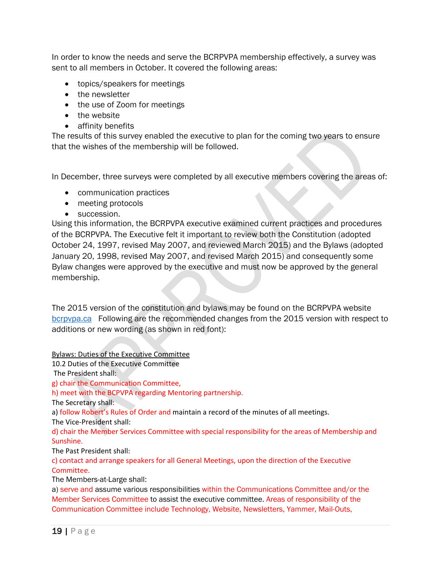In order to know the needs and serve the BCRPVPA membership effectively, a survey was sent to all members in October. It covered the following areas:

- topics/speakers for meetings
- the newsletter
- the use of Zoom for meetings
- the website
- affinity benefits

The results of this survey enabled the executive to plan for the coming two years to ensure that the wishes of the membership will be followed.

In December, three surveys were completed by all executive members covering the areas of:

- communication practices
- meeting protocols
- succession.

Using this information, the BCRPVPA executive examined current practices and procedures of the BCRPVPA. The Executive felt it important to review both the Constitution (adopted October 24, 1997, revised May 2007, and reviewed March 2015) and the Bylaws (adopted January 20, 1998, revised May 2007, and revised March 2015) and consequently some Bylaw changes were approved by the executive and must now be approved by the general membership.

The 2015 version of the constitution and bylaws may be found on the BCRPVPA website [bcrpvpa.ca](http://www.bcrpvpa.ca/) Following are the recommended changes from the 2015 version with respect to additions or new wording (as shown in red font):

Bylaws: Duties of the Executive Committee

10.2 Duties of the Executive Committee

The President shall:

g) chair the Communication Committee,

h) meet with the BCPVPA regarding Mentoring partnership.

The Secretary shall:

a) follow Robert's Rules of Order and maintain a record of the minutes of all meetings.

The Vice-President shall:

d) chair the Member Services Committee with special responsibility for the areas of Membership and Sunshine.

The Past President shall:

c) contact and arrange speakers for all General Meetings, upon the direction of the Executive Committee.

The Members-at-Large shall:

a) serve and assume various responsibilities within the Communications Committee and/or the Member Services Committee to assist the executive committee. Areas of responsibility of the Communication Committee include Technology, Website, Newsletters, Yammer, Mail-Outs,